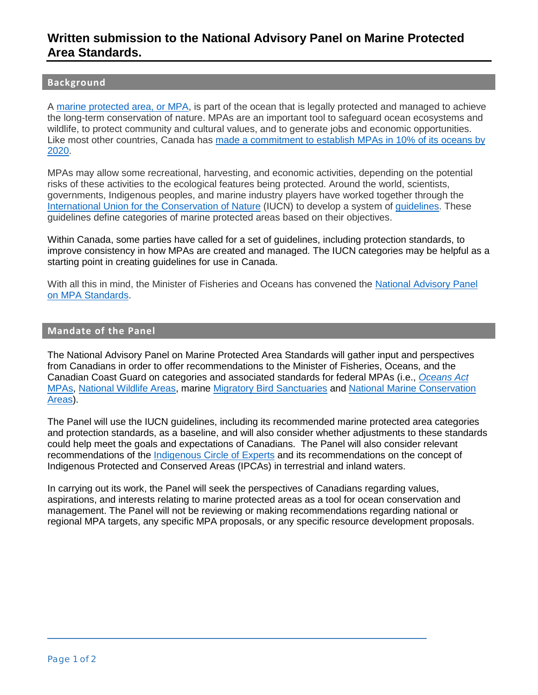# **Written submission to the National Advisory Panel on Marine Protected Area Standards.**

## **Background**

[A marine protected area, or MPA,](http://www.dfo-mpo.gc.ca/oceans/publications/mpaspotlight-pleinsfeuxzpm/index-eng.html) is part of the ocean that is legally protected and managed to achieve the long-term conservation of nature. MPAs are an important tool to safeguard ocean ecosystems and wildlife, to protect community and cultural values, and to generate jobs and economic opportunities. Like most other countries, Canada has [made a commitment to establish MPAs in 10% of its oceans by](http://www.dfo-mpo.gc.ca/oceans/conservation/plan-eng.html)  [2020.](http://www.dfo-mpo.gc.ca/oceans/conservation/plan-eng.html)

MPAs may allow some recreational, harvesting, and economic activities, depending on the potential risks of these activities to the ecological features being protected. Around the world, scientists, governments, Indigenous peoples, and marine industry players have worked together through the [International Union for the Conservation of Nature](https://www.iucn.org/) (IUCN) to develop a system o[f guidelines.](https://www.iucn.org/sites/dev/files/import/downloads/uicn_categoriesamp_eng.pdf) These guidelines define categories of marine protected areas based on their objectives.

 improve consistency in how MPAs are created and managed. The IUCN categories may be helpful as a starting point in creating guidelines for use in Canada. Within Canada, some parties have called for a set of guidelines, including protection standards, to

With all this in mind, the Minister of Fisheries and Oceans has convened the [National Advisory Panel](http://dfo-mpo.gc.ca/oceans/conservation/advisorypanel-comiteconseil-eng.html)  [on MPA Standards.](http://dfo-mpo.gc.ca/oceans/conservation/advisorypanel-comiteconseil-eng.html)

#### **Mandate of the Panel**

 from Canadians in order to offer recommendations to the Minister of Fisheries, Oceans, and the The National Advisory Panel on Marine Protected Area Standards will gather input and perspectives Canadian Coast Guard on categories and associated standards for federal MPAs (i.e., *[Oceans Act](http://www.dfo-mpo.gc.ca/oceans/mpa-zpm-aoi-si-eng.html)*  [MPAs,](http://www.dfo-mpo.gc.ca/oceans/mpa-zpm-aoi-si-eng.html) [National Wildlife Areas,](https://www.canada.ca/en/environment-climate-change/services/national-wildlife-areas.html) marine [Migratory Bird Sanctuaries](https://www.canada.ca/en/environment-climate-change/services/migratory-bird-sanctuaries/locations.html) and [National Marine Conservation](https://www.pc.gc.ca/en/amnc-nmca)  [Areas\)](https://www.pc.gc.ca/en/amnc-nmca).

 could help meet the goals and expectations of Canadians. The Panel will also consider relevant The Panel will use the IUCN guidelines, including its recommended marine protected area categories and protection standards, as a baseline, and will also consider whether adjustments to these standards recommendations of the [Indigenous Circle of Experts](https://static1.squarespace.com/static/57e007452e69cf9a7af0a033/t/5ab94aca6d2a7338ecb1d05e/1522092766605/PA234-ICE_Report_2018_Mar_22_web.pdf) and its recommendations on the concept of Indigenous Protected and Conserved Areas (IPCAs) in terrestrial and inland waters.

 regional MPA targets, any specific MPA proposals, or any specific resource development proposals. In carrying out its work, the Panel will seek the perspectives of Canadians regarding values, aspirations, and interests relating to marine protected areas as a tool for ocean conservation and management. The Panel will not be reviewing or making recommendations regarding national or